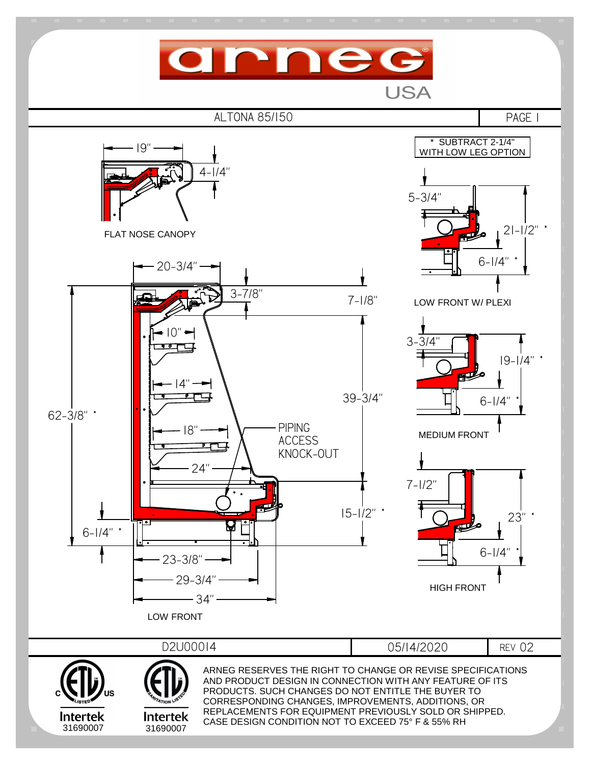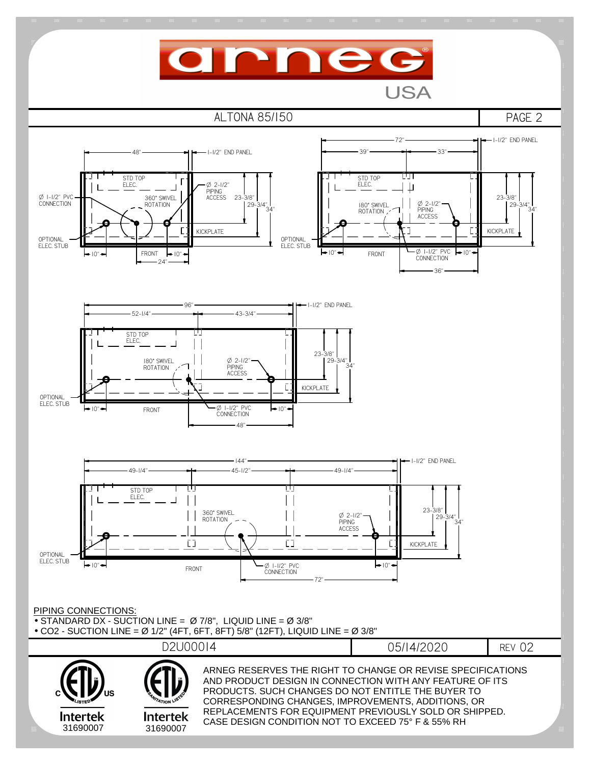